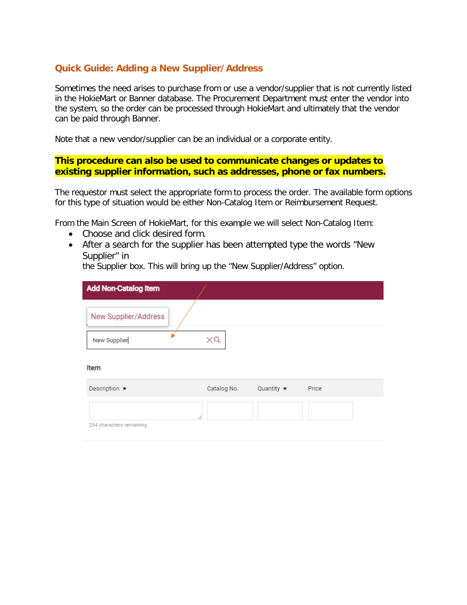# **Quick Guide: Adding a New Supplier/Address**

Sometimes the need arises to purchase from or use a vendor/supplier that is not currently listed in the HokieMart or Banner database. The Procurement Department must enter the vendor into the system, so the order can be processed through HokieMart and ultimately that the vendor can be paid through Banner.

Note that a new vendor/supplier can be an individual or a corporate entity.

## **This procedure can also be used to communicate changes or updates to existing supplier information, such as addresses, phone or fax numbers.**

The requestor must select the appropriate form to process the order. The available form options for this type of situation would be either Non-Catalog Item or Reimbursement Request.

From the Main Screen of HokieMart, for this example we will select Non-Catalog Item:

- Choose and click desired form.
- After a search for the supplier has been attempted type the words "New Supplier" in

the Supplier box. This will bring up the "New Supplier/Address" option.

| <b>Add Non-Catalog Item</b>   |             |                  |       |
|-------------------------------|-------------|------------------|-------|
| New Supplier/Address          |             |                  |       |
| New Supplier                  | $\times$ Q  |                  |       |
| Item                          |             |                  |       |
| Description $\star$           | Catalog No. | Quantity $\star$ | Price |
| 4<br>254 characters remaining |             |                  |       |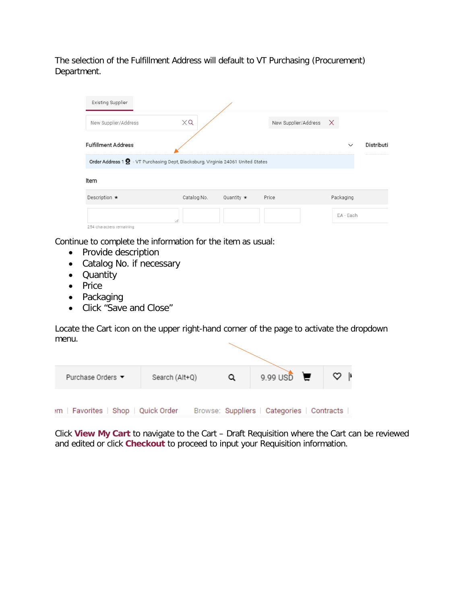The selection of the Fulfillment Address will default to VT Purchasing (Procurement) Department.

| $\times Q$  |                  |       |                                                                                  |              |                               |
|-------------|------------------|-------|----------------------------------------------------------------------------------|--------------|-------------------------------|
|             |                  |       |                                                                                  | $\checkmark$ | <b>Distributi</b>             |
|             |                  |       |                                                                                  |              |                               |
|             |                  |       |                                                                                  |              |                               |
| Catalog No. | Quantity $\star$ | Price |                                                                                  | Packaging    |                               |
| 11          |                  |       |                                                                                  | EA - Each    |                               |
|             |                  |       | Order Address 1 Q - VT Purchasing Dept, Blacksburg, Virginia 24061 United States |              | New Supplier/Address $\times$ |

Continue to complete the information for the item as usual:

- Provide description
- Catalog No. if necessary
- Quantity
- Price
- Packaging
- Click "Save and Close"

Locate the Cart icon on the upper right-hand corner of the page to activate the dropdown menu.

| Purchase Orders ▼                   | Search (Alt+Q) | 9.99 USD $\Box$                            | $\circ$ |
|-------------------------------------|----------------|--------------------------------------------|---------|
| im   Favorites   Shop   Quick Order |                | Browse: Suppliers   Categories   Contracts |         |

Click **View My Cart** to navigate to the Cart – Draft Requisition where the Cart can be reviewed and edited or click **Checkout** to proceed to input your Requisition information.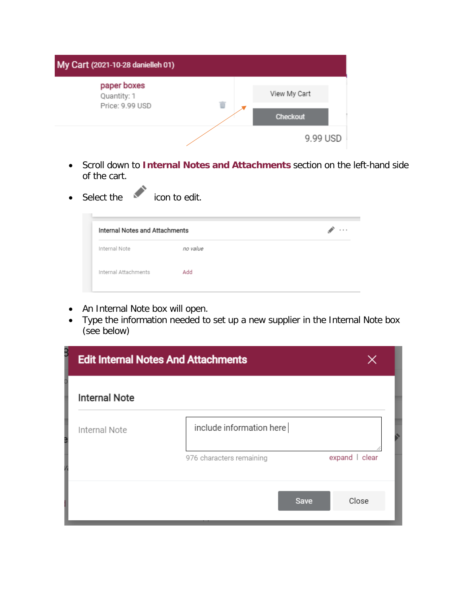

- Scroll down to **Internal Notes and Attachments** section on the left-hand side of the cart.
- Select the **icon** to edit.

| <b>Internal Notes and Attachments</b> |          | $\cdots$ |
|---------------------------------------|----------|----------|
| Internal Note                         | no value |          |
| Internal Attachments                  | Add      |          |

- An Internal Note box will open.
- Type the information needed to set up a new supplier in the Internal Note box (see below)

| <b>Edit Internal Notes And Attachments</b> |                          |                |  |
|--------------------------------------------|--------------------------|----------------|--|
| <b>Internal Note</b>                       |                          |                |  |
| Internal Note                              | include information here |                |  |
|                                            | 976 characters remaining | expand   clear |  |
|                                            | <b>Save</b>              | Close          |  |